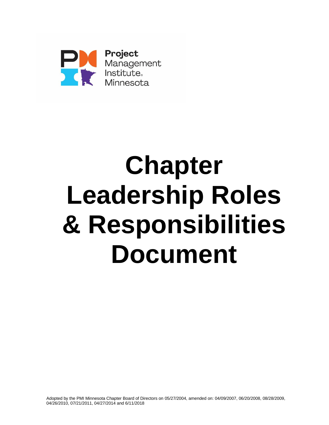

# **Chapter Leadership Roles & Responsibilities Document**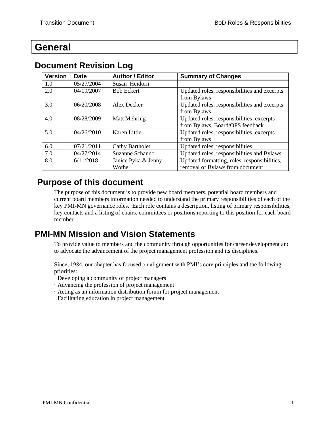# <span id="page-1-0"></span>**General**

| <b>Version</b> | <b>Date</b> | <b>Author / Editor</b>       | <b>Summary of Changes</b>                                                       |  |
|----------------|-------------|------------------------------|---------------------------------------------------------------------------------|--|
| 1.0            | 05/27/2004  | Susan Heidorn                |                                                                                 |  |
| 2.0            | 04/09/2007  | <b>Bob Eckert</b>            | Updated roles, responsibilities and excerpts<br>from Bylaws                     |  |
| 3.0            | 06/20/2008  | Alex Decker                  | Updated roles, responsibilities and excerpts<br>from Bylaws                     |  |
| 4.0            | 08/28/2009  | <b>Matt Mehring</b>          | Updated roles, responsibilities, excerpts<br>from Bylaws, Board/OPS feedback    |  |
| 5.0            | 04/26/2010  | Karen Little                 | Updated roles, responsibilities, excerpts<br>from Bylaws                        |  |
| 6.0            | 07/21/2011  | <b>Cathy Bartholet</b>       | Updated roles, responsibilities                                                 |  |
| 7.0            | 04/27/2014  | Suzanne Schanno              | Updated roles, responsibilities and Bylaws                                      |  |
| 8.0            | 6/11/2018   | Janice Pyka & Jenny<br>Wothe | Updated formatting, roles, responsibilities,<br>removal of Bylaws from document |  |

## <span id="page-1-1"></span>**Document Revision Log**

## <span id="page-1-2"></span>**Purpose of this document**

The purpose of this document is to provide new board members, potential board members and current board members information needed to understand the primary responsibilities of each of the key PMI-MN governance roles. Each role contains a description, listing of primary responsibilities, key contacts and a listing of chairs, committees or positions reporting to this position for each board member.

## <span id="page-1-3"></span>**PMI-MN Mission and Vision Statements**

To provide value to members and the community through opportunities for career development and to advocate the advancement of the project management profession and its disciplines.

Since, 1984, our chapter has focused on alignment with PMI's core principles and the following priorities:

- · Developing a community of project managers
- · Advancing the profession of project management
- · Acting as an information distribution forum for project management
- · Facilitating education in project management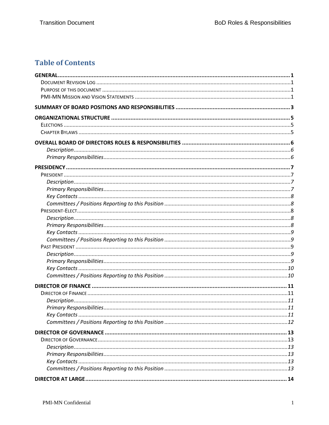## **Table of Contents**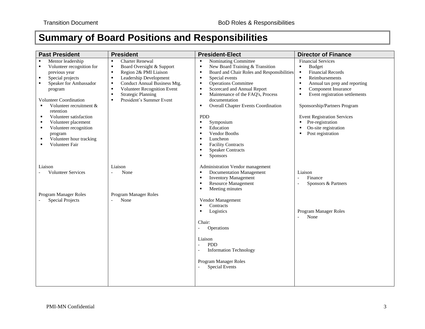# **Summary of Board Positions and Responsibilities**

<span id="page-4-0"></span>

| <b>Past President</b>                                                                                                                                                                                                                                                                                                                                                                                                     | <b>President</b>                                                                                                                                                                                                                                                                                                           | <b>President-Elect</b>                                                                                                                                                                                                                                                                                                                                                                                                                                                                                                                                                                             | <b>Director of Finance</b>                                                                                                                                                                                                                                                                                                                                                                                  |
|---------------------------------------------------------------------------------------------------------------------------------------------------------------------------------------------------------------------------------------------------------------------------------------------------------------------------------------------------------------------------------------------------------------------------|----------------------------------------------------------------------------------------------------------------------------------------------------------------------------------------------------------------------------------------------------------------------------------------------------------------------------|----------------------------------------------------------------------------------------------------------------------------------------------------------------------------------------------------------------------------------------------------------------------------------------------------------------------------------------------------------------------------------------------------------------------------------------------------------------------------------------------------------------------------------------------------------------------------------------------------|-------------------------------------------------------------------------------------------------------------------------------------------------------------------------------------------------------------------------------------------------------------------------------------------------------------------------------------------------------------------------------------------------------------|
| Mentor leadership<br>Volunteer recognition for<br>$\blacksquare$<br>previous year<br>Special projects<br>$\blacksquare$<br>Speaker for Ambassador<br>$\blacksquare$<br>program<br><b>Volunteer Coordination</b><br>Volunteer recruitment &<br>٠<br>retention<br>Volunteer satisfaction<br>п<br>Volunteer placement<br>п<br>Volunteer recognition<br>٠<br>program<br>Volunteer hour tracking<br>п<br><b>Volunteer Fair</b> | <b>Charter Renewal</b><br>$\blacksquare$<br>Board Oversight & Support<br>٠<br>Region 2& PMI Liaison<br>$\blacksquare$<br>Leadership Development<br>٠<br>Conduct Annual Business Mtg.<br>٠<br>Volunteer Recognition Event<br>$\blacksquare$<br><b>Strategic Planning</b><br>п<br>President's Summer Event<br>$\blacksquare$ | Nominating Committee<br>$\blacksquare$<br>New Board Training & Transition<br>$\blacksquare$<br>Board and Chair Roles and Responsibilities<br>п<br>Special events<br>٠<br><b>Operations Committee</b><br>$\blacksquare$<br>Scorecard and Annual Report<br>٠<br>Maintenance of the FAQ's, Process<br>$\blacksquare$<br>documentation<br><b>Overall Chapter Events Coordination</b><br>٠<br>PDD<br>Symposium<br>٠<br>Education<br>$\blacksquare$<br>Vendor Booths<br>$\blacksquare$<br>Luncheon<br>٠<br><b>Facility Contracts</b><br>٠<br><b>Speaker Contracts</b><br>$\blacksquare$<br>Sponsors<br>٠ | <b>Financial Services</b><br>$\blacksquare$<br><b>Budget</b><br><b>Financial Records</b><br>$\blacksquare$<br>Reimbursements<br>×<br>Annual tax prep and reporting<br>Component Insurance<br>$\blacksquare$<br>Event registration settlements<br>Sponsorship/Partners Program<br><b>Event Registration Services</b><br>Pre-registration<br>٠<br>On-site registration<br>Post registration<br>$\blacksquare$ |
| Liaison<br><b>Volunteer Services</b><br>Program Manager Roles<br><b>Special Projects</b>                                                                                                                                                                                                                                                                                                                                  | Liaison<br>None<br>$\overline{\phantom{0}}$<br>Program Manager Roles<br>None<br>÷.                                                                                                                                                                                                                                         | Administration Vendor management<br><b>Documentation Management</b><br>٠<br><b>Inventory Management</b><br>٠<br><b>Resource Management</b><br>٠<br>Meeting minutes<br>٠<br>Vendor Management<br>Contracts<br>$\blacksquare$<br>Logistics<br>٠<br>Chair:<br>Operations<br>$\overline{\phantom{a}}$<br>Liaison<br><b>PDD</b><br><b>Information Technology</b><br>Program Manager Roles<br><b>Special Events</b>                                                                                                                                                                                      | Liaison<br>Finance<br>$\overline{a}$<br>Sponsors & Partners<br>Program Manager Roles<br>None                                                                                                                                                                                                                                                                                                                |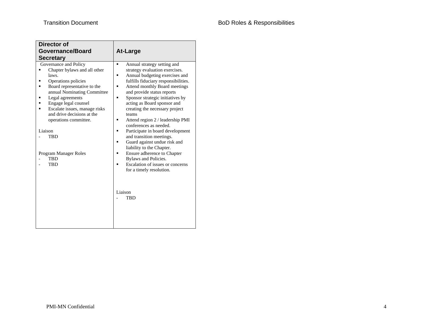| <b>Director of</b>                                                                                                                                                                                                                                                                                                                                      |                                                                                                                                                                                                                                                                                                                                                                                                                                                                                                                                                                                                                                                                                                                                                 |  |
|---------------------------------------------------------------------------------------------------------------------------------------------------------------------------------------------------------------------------------------------------------------------------------------------------------------------------------------------------------|-------------------------------------------------------------------------------------------------------------------------------------------------------------------------------------------------------------------------------------------------------------------------------------------------------------------------------------------------------------------------------------------------------------------------------------------------------------------------------------------------------------------------------------------------------------------------------------------------------------------------------------------------------------------------------------------------------------------------------------------------|--|
| <b>Governance/Board</b>                                                                                                                                                                                                                                                                                                                                 | <b>At-Large</b>                                                                                                                                                                                                                                                                                                                                                                                                                                                                                                                                                                                                                                                                                                                                 |  |
| <b>Secretary</b>                                                                                                                                                                                                                                                                                                                                        |                                                                                                                                                                                                                                                                                                                                                                                                                                                                                                                                                                                                                                                                                                                                                 |  |
| Governance and Policy<br>Chapter bylaws and all other<br>laws.<br>Operations policies<br>Board representative to the<br>annual Nominating Committee<br>Legal agreements<br>Engage legal counsel<br>Escalate issues, manage risks<br>and drive decisions at the<br>operations committee.<br>Liaison<br><b>TBD</b><br>Program Manager Roles<br>TBD<br>TBD | Annual strategy setting and<br>$\blacksquare$<br>strategy evaluation exercises.<br>Annual budgeting exercises and<br>٠<br>fulfills fiduciary responsibilities.<br>Attend monthly Board meetings<br>$\blacksquare$<br>and provide status reports<br>Sponsor strategic initiatives by<br>$\blacksquare$<br>acting as Board sponsor and<br>creating the necessary project<br>teams<br>Attend region 2 / leadership PMI<br>٠<br>conferences as needed.<br>Participate in board development<br>п<br>and transition meetings.<br>Guard against undue risk and<br>liability to the Chapter.<br>Ensure adherence to Chapter<br>$\blacksquare$<br>Bylaws and Policies.<br>Escalation of issues or concerns<br>for a timely resolution.<br>Liaison<br>TBD |  |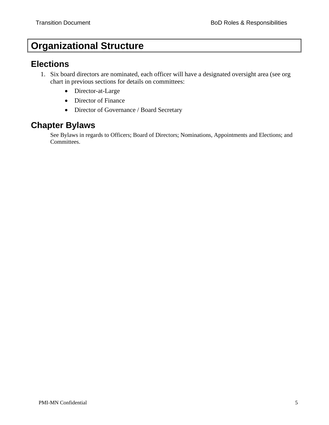# <span id="page-6-0"></span>**Organizational Structure**

## <span id="page-6-1"></span>**Elections**

- 1. Six board directors are nominated, each officer will have a designated oversight area (see org chart in previous sections for details on committees:
	- Director-at-Large
	- Director of Finance
	- Director of Governance / Board Secretary

## <span id="page-6-2"></span>**Chapter Bylaws**

See Bylaws in regards to Officers; Board of Directors; Nominations, Appointments and Elections; and Committees.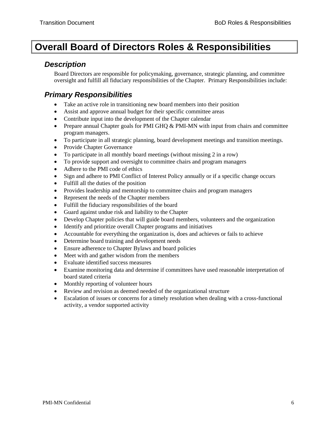# <span id="page-7-0"></span>**Overall Board of Directors Roles & Responsibilities**

#### <span id="page-7-1"></span>*Description*

<span id="page-7-2"></span>Board Directors are responsible for policymaking, governance, strategic planning, and committee oversight and fulfill all fiduciary responsibilities of the Chapter. Primary Responsibilities include:

- Take an active role in transitioning new board members into their position
- Assist and approve annual budget for their specific committee areas
- Contribute input into the development of the Chapter calendar
- Prepare annual Chapter goals for PMI GHQ & PMI-MN with input from chairs and committee program managers.
- To participate in all strategic planning, board development meetings and transition meetings.
- Provide Chapter Governance
- To participate in all monthly board meetings (without missing 2 in a row)
- To provide support and oversight to committee chairs and program managers
- Adhere to the PMI code of ethics
- Sign and adhere to PMI Conflict of Interest Policy annually or if a specific change occurs
- Fulfill all the duties of the position
- Provides leadership and mentorship to committee chairs and program managers
- Represent the needs of the Chapter members
- Fulfill the fiduciary responsibilities of the board
- Guard against undue risk and liability to the Chapter
- Develop Chapter policies that will guide board members, volunteers and the organization
- Identify and prioritize overall Chapter programs and initiatives
- Accountable for everything the organization is, does and achieves or fails to achieve
- Determine board training and development needs
- Ensure adherence to Chapter Bylaws and board policies
- Meet with and gather wisdom from the members
- Evaluate identified success measures
- Examine monitoring data and determine if committees have used reasonable interpretation of board stated criteria
- Monthly reporting of volunteer hours
- Review and revision as deemed needed of the organizational structure
- Escalation of issues or concerns for a timely resolution when dealing with a cross-functional activity, a vendor supported activity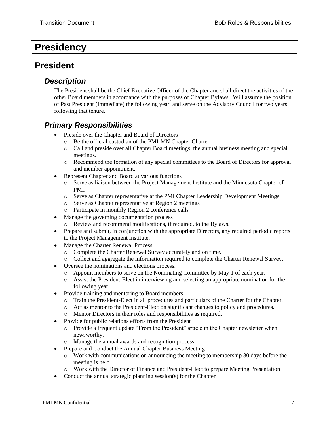## <span id="page-8-0"></span>**Presidency**

## <span id="page-8-2"></span><span id="page-8-1"></span>**President**

#### *Description*

The President shall be the Chief Executive Officer of the Chapter and shall direct the activities of the other Board members in accordance with the purposes of Chapter Bylaws. Will assume the position of Past President (Immediate) the following year, and serve on the Advisory Council for two years following that tenure.

- <span id="page-8-3"></span>• Preside over the Chapter and Board of Directors
	- o Be the official custodian of the PMI-MN Chapter Charter.
	- o Call and preside over all Chapter Board meetings, the annual business meeting and special meetings.
	- o Recommend the formation of any special committees to the Board of Directors for approval and member appointment.
- Represent Chapter and Board at various functions
	- o Serve as liaison between the Project Management Institute and the Minnesota Chapter of PMI.
	- o Serve as Chapter representative at the PMI Chapter Leadership Development Meetings
	- o Serve as Chapter representative at Region 2 meetings
	- o Participate in monthly Region 2 conference calls
- Manage the governing documentation process
	- o Review and recommend modifications, if required, to the Bylaws.
- Prepare and submit, in conjunction with the appropriate Directors, any required periodic reports to the Project Management Institute.
- Manage the Charter Renewal Process
	- o Complete the Charter Renewal Survey accurately and on time.
	- o Collect and aggregate the information required to complete the Charter Renewal Survey.
- Oversee the nominations and elections process.
	- o Appoint members to serve on the Nominating Committee by May 1 of each year.
	- o Assist the President-Elect in interviewing and selecting an appropriate nomination for the following year.
- Provide training and mentoring to Board members
	- o Train the President-Elect in all procedures and particulars of the Charter for the Chapter.
	- o Act as mentor to the President-Elect on significant changes to policy and procedures.
	- o Mentor Directors in their roles and responsibilities as required.
- Provide for public relations efforts from the President
	- o Provide a frequent update "From the President" article in the Chapter newsletter when newsworthy.
	- o Manage the annual awards and recognition process.
- Prepare and Conduct the Annual Chapter Business Meeting
	- o Work with communications on announcing the meeting to membership 30 days before the meeting is held
	- o Work with the Director of Finance and President-Elect to prepare Meeting Presentation
- Conduct the annual strategic planning session(s) for the Chapter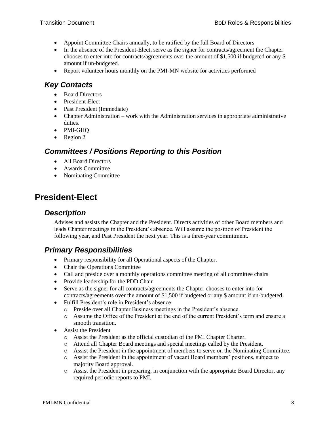- Appoint Committee Chairs annually, to be ratified by the full Board of Directors
- In the absence of the President-Elect, serve as the signer for contracts/agreement the Chapter chooses to enter into for contracts/agreements over the amount of \$1,500 if budgeted or any \$ amount if un-budgeted.
- <span id="page-9-0"></span>• Report volunteer hours monthly on the PMI-MN website for activities performed

- Board Directors
- President-Elect
- Past President (Immediate)
- Chapter Administration work with the Administration services in appropriate administrative duties.
- PMI-GHQ
- Region 2

#### <span id="page-9-1"></span>*Committees / Positions Reporting to this Position*

- All Board Directors
- Awards Committee
- Nominating Committee

## <span id="page-9-3"></span><span id="page-9-2"></span>**President-Elect**

#### *Description*

Advises and assists the Chapter and the President. Directs activities of other Board members and leads Chapter meetings in the President's absence. Will assume the position of President the following year, and Past President the next year. This is a three-year commitment.

- <span id="page-9-4"></span>• Primary responsibility for all Operational aspects of the Chapter.
- Chair the Operations Committee
- Call and preside over a monthly operations committee meeting of all committee chairs
- Provide leadership for the PDD Chair
- Serve as the signer for all contracts/agreements the Chapter chooses to enter into for contracts/agreements over the amount of \$1,500 if budgeted or any \$ amount if un-budgeted.
- Fulfill President's role in President's absence
	- o Preside over all Chapter Business meetings in the President's absence.
	- o Assume the Office of the President at the end of the current President's term and ensure a smooth transition.
- Assist the President
	- o Assist the President as the official custodian of the PMI Chapter Charter.
	- o Attend all Chapter Board meetings and special meetings called by the President.
	- o Assist the President in the appointment of members to serve on the Nominating Committee.
	- o Assist the President in the appointment of vacant Board members' positions, subject to majority Board approval.
	- o Assist the President in preparing, in conjunction with the appropriate Board Director, any required periodic reports to PMI.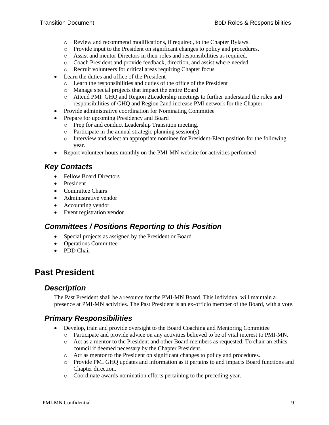- o Review and recommend modifications, if required, to the Chapter Bylaws.
- o Provide input to the President on significant changes to policy and procedures.
- o Assist and mentor Directors in their roles and responsibilities as required.
- o Coach President and provide feedback, direction, and assist where needed.
- o Recruit volunteers for critical areas requiring Chapter focus
- Learn the duties and office of the President
	- o Learn the responsibilities and duties of the office of the President
	- o Manage special projects that impact the entire Board
	- o Attend PMI GHQ and Region 2Leadership meetings to further understand the roles and responsibilities of GHQ and Region 2and increase PMI network for the Chapter
- Provide administrative coordination for Nominating Committee
- Prepare for upcoming Presidency and Board
	- o Prep for and conduct Leadership Transition meeting.
	- o Participate in the annual strategic planning session(s)
	- o Interview and select an appropriate nominee for President-Elect position for the following year.
- <span id="page-10-0"></span>• Report volunteer hours monthly on the PMI-MN website for activities performed

- Fellow Board Directors
- President
- Committee Chairs
- Administrative vendor
- Accounting vendor
- Event registration vendor

#### <span id="page-10-1"></span>*Committees / Positions Reporting to this Position*

- Special projects as assigned by the President or Board
- Operations Committee
- PDD Chair

## <span id="page-10-3"></span><span id="page-10-2"></span>**Past President**

#### *Description*

<span id="page-10-4"></span>The Past President shall be a resource for the PMI-MN Board. This individual will maintain a presence at PMI-MN activities. The Past President is an ex-officio member of the Board, with a vote.

- Develop, train and provide oversight to the Board Coaching and Mentoring Committee
	- o Participate and provide advice on any activities believed to be of vital interest to PMI-MN.
	- o Act as a mentor to the President and other Board members as requested. To chair an ethics council if deemed necessary by the Chapter President.
	- o Act as mentor to the President on significant changes to policy and procedures.
	- o Provide PMI GHQ updates and information as it pertains to and impacts Board functions and Chapter direction.
	- o Coordinate awards nomination efforts pertaining to the preceding year.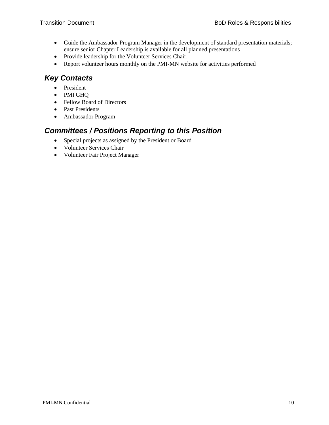- Guide the Ambassador Program Manager in the development of standard presentation materials; ensure senior Chapter Leadership is available for all planned presentations
- Provide leadership for the Volunteer Services Chair.
- <span id="page-11-0"></span>• Report volunteer hours monthly on the PMI-MN website for activities performed

- President
- PMI GHQ
- Fellow Board of Directors
- Past Presidents
- Ambassador Program

#### <span id="page-11-1"></span>*Committees / Positions Reporting to this Position*

- Special projects as assigned by the President or Board
- Volunteer Services Chair
- Volunteer Fair Project Manager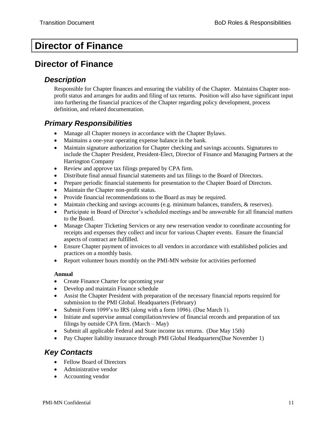# <span id="page-12-0"></span>**Director of Finance**

## <span id="page-12-2"></span><span id="page-12-1"></span>**Director of Finance**

#### *Description*

Responsible for Chapter finances and ensuring the viability of the Chapter. Maintains Chapter nonprofit status and arranges for audits and filing of tax returns. Position will also have significant input into furthering the financial practices of the Chapter regarding policy development, process definition, and related documentation.

### <span id="page-12-3"></span>*Primary Responsibilities*

- Manage all Chapter moneys in accordance with the Chapter Bylaws.
- Maintains a one-year operating expense balance in the bank.
- Maintain signature authorization for Chapter checking and savings accounts. Signatures to include the Chapter President, President-Elect, Director of Finance and Managing Partners at the Harrington Company
- Review and approve tax filings prepared by CPA firm.
- Distribute final annual financial statements and tax filings to the Board of Directors.
- Prepare periodic financial statements for presentation to the Chapter Board of Directors.
- Maintain the Chapter non-profit status.
- Provide financial recommendations to the Board as may be required.
- Maintain checking and savings accounts (e.g. minimum balances, transfers, & reserves).
- Participate in Board of Director's scheduled meetings and be answerable for all financial matters to the Board.
- Manage Chapter Ticketing Services or any new reservation vendor to coordinate accounting for receipts and expenses they collect and incur for various Chapter events. Ensure the financial aspects of contract are fulfilled.
- Ensure Chapter payment of invoices to all vendors in accordance with established policies and practices on a monthly basis.
- Report volunteer hours monthly on the PMI-MN website for activities performed

#### **Annual**

- Create Finance Charter for upcoming year
- Develop and maintain Finance schedule
- Assist the Chapter President with preparation of the necessary financial reports required for submission to the PMI Global. Headquarters (February)
- Submit Form 1099's to IRS (along with a form 1096). (Due March 1).
- Initiate and supervise annual compilation/review of financial records and preparation of tax filings by outside CPA firm. (March – May)
- Submit all applicable Federal and State income tax returns. (Due May 15th)
- Pay Chapter liability insurance through PMI Global Headquarters(Due November 1)

#### <span id="page-12-4"></span>*Key Contacts*

- Fellow Board of Directors
- Administrative vendor
- Accounting vendor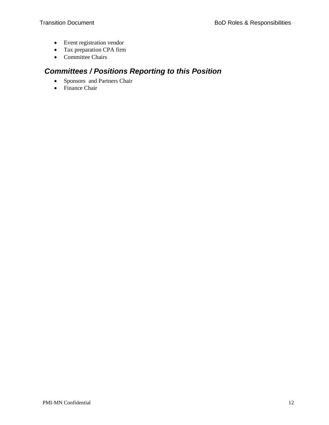- Event registration vendor
- Tax preparation CPA firm
- Committee Chairs

## <span id="page-13-0"></span>*Committees / Positions Reporting to this Position*

- Sponsors and Partners Chair
- Finance Chair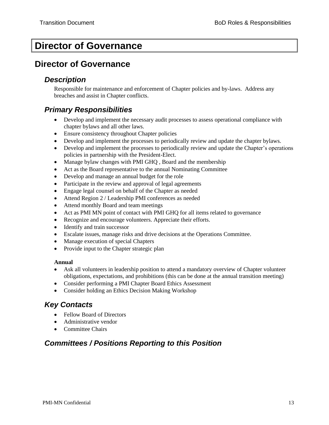# <span id="page-14-0"></span>**Director of Governance**

## <span id="page-14-2"></span><span id="page-14-1"></span>**Director of Governance**

#### *Description*

Responsible for maintenance and enforcement of Chapter policies and by-laws. Address any breaches and assist in Chapter conflicts.

#### <span id="page-14-3"></span>*Primary Responsibilities*

- Develop and implement the necessary audit processes to assess operational compliance with chapter bylaws and all other laws.
- Ensure consistency throughout Chapter policies
- Develop and implement the processes to periodically review and update the chapter bylaws.
- Develop and implement the processes to periodically review and update the Chapter's operations policies in partnership with the President-Elect.
- Manage bylaw changes with PMI GHQ, Board and the membership
- Act as the Board representative to the annual Nominating Committee
- Develop and manage an annual budget for the role
- Participate in the review and approval of legal agreements
- Engage legal counsel on behalf of the Chapter as needed
- Attend Region 2 / Leadership PMI conferences as needed
- Attend monthly Board and team meetings
- Act as PMI MN point of contact with PMI GHQ for all items related to governance
- Recognize and encourage volunteers. Appreciate their efforts.
- Identify and train successor
- Escalate issues, manage risks and drive decisions at the Operations Committee.
- Manage execution of special Chapters
- Provide input to the Chapter strategic plan

#### **Annual**

- Ask all volunteers in leadership position to attend a mandatory overview of Chapter volunteer obligations, expectations, and prohibitions (this can be done at the annual transition meeting)
- Consider performing a PMI Chapter Board Ethics Assessment
- Consider holding an Ethics Decision Making Workshop

#### <span id="page-14-4"></span>*Key Contacts*

- Fellow Board of Directors
- Administrative vendor
- Committee Chairs

#### <span id="page-14-5"></span>*Committees / Positions Reporting to this Position*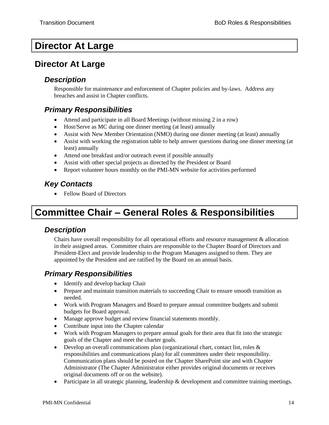# <span id="page-15-0"></span>**Director At Large**

## <span id="page-15-2"></span><span id="page-15-1"></span>**Director At Large**

#### *Description*

Responsible for maintenance and enforcement of Chapter policies and by-laws. Address any breaches and assist in Chapter conflicts.

#### <span id="page-15-3"></span>*Primary Responsibilities*

- Attend and participate in all Board Meetings (without missing 2 in a row)
- Host/Serve as MC during one dinner meeting (at least) annually
- Assist with New Member Orientation (NMO) during one dinner meeting (at least) annually
- Assist with working the registration table to help answer questions during one dinner meeting (at least) annually
- Attend one breakfast and/or outreach event if possible annually
- Assist with other special projects as directed by the President or Board
- Report volunteer hours monthly on the PMI-MN website for activities performed

#### <span id="page-15-4"></span>*Key Contacts*

• Fellow Board of Directors

# <span id="page-15-5"></span>**Committee Chair – General Roles & Responsibilities**

#### <span id="page-15-6"></span>*Description*

Chairs have overall responsibility for all operational efforts and resource management & allocation in their assigned areas. Committee chairs are responsible to the Chapter Board of Directors and President-Elect and provide leadership to the Program Managers assigned to them. They are appointed by the President and are ratified by the Board on an annual basis.

- <span id="page-15-7"></span>• Identify and develop backup Chair
- Prepare and maintain transition materials to succeeding Chair to ensure smooth transition as needed.
- Work with Program Managers and Board to prepare annual committee budgets and submit budgets for Board approval.
- Manage approve budget and review financial statements monthly.
- Contribute input into the Chapter calendar
- Work with Program Managers to prepare annual goals for their area that fit into the strategic goals of the Chapter and meet the charter goals.
- Develop an overall communications plan (organizational chart, contact list, roles & responsibilities and communications plan) for all committees under their responsibility. Communication plans should be posted on the Chapter SharePoint site and with Chapter Administrator (The Chapter Administrator either provides original documents or receives original documents off or on the website).
- Participate in all strategic planning, leadership & development and committee training meetings.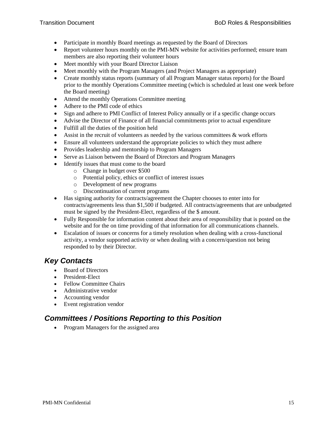- Participate in monthly Board meetings as requested by the Board of Directors
- Report volunteer hours monthly on the PMI-MN website for activities performed; ensure team members are also reporting their volunteer hours
- Meet monthly with your Board Director Liaison
- Meet monthly with the Program Managers (and Project Managers as appropriate)
- Create monthly status reports (summary of all Program Manager status reports) for the Board prior to the monthly Operations Committee meeting (which is scheduled at least one week before the Board meeting)
- Attend the monthly Operations Committee meeting
- Adhere to the PMI code of ethics
- Sign and adhere to PMI Conflict of Interest Policy annually or if a specific change occurs
- Advise the Director of Finance of all financial commitments prior to actual expenditure
- Fulfill all the duties of the position held
- Assist in the recruit of volunteers as needed by the various committees  $\&$  work efforts
- Ensure all volunteers understand the appropriate policies to which they must adhere
- Provides leadership and mentorship to Program Managers
- Serve as Liaison between the Board of Directors and Program Managers
- Identify issues that must come to the board
	- o Change in budget over \$500
	- o Potential policy, ethics or conflict of interest issues
	- o Development of new programs
	- o Discontinuation of current programs
- Has signing authority for contracts/agreement the Chapter chooses to enter into for contracts/agreements less than \$1,500 if budgeted. All contracts/agreements that are unbudgeted must be signed by the President-Elect, regardless of the \$ amount.
- Fully Responsible for information content about their area of responsibility that is posted on the website and for the on time providing of that information for all communications channels.
- Escalation of issues or concerns for a timely resolution when dealing with a cross-functional activity, a vendor supported activity or when dealing with a concern/question not being responded to by their Director.

- <span id="page-16-0"></span>• Board of Directors
- President-Elect
- Fellow Committee Chairs
- Administrative vendor
- Accounting vendor
- Event registration vendor

#### <span id="page-16-1"></span>*Committees / Positions Reporting to this Position*

• Program Managers for the assigned area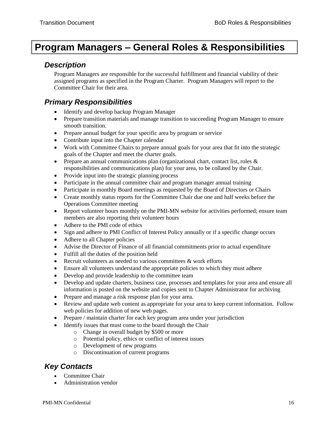# <span id="page-17-0"></span>**Program Managers – General Roles & Responsibilities**

#### <span id="page-17-1"></span>*Description*

Program Managers are responsible for the successful fulfillment and financial viability of their assigned programs as specified in the Program Charter. Program Managers will report to the Committee Chair for their area.

#### <span id="page-17-2"></span>*Primary Responsibilities*

- Identify and develop backup Program Manager
- Prepare transition materials and manage transition to succeeding Program Manager to ensure smooth transition.
- Prepare annual budget for your specific area by program or service
- Contribute input into the Chapter calendar
- Work with Committee Chairs to prepare annual goals for your area that fit into the strategic goals of the Chapter and meet the charter goals.
- Prepare an annual communications plan (organizational chart, contact list, roles & responsibilities and communications plan) for your area, to be collated by the Chair.
- Provide input into the strategic planning process
- Participate in the annual committee chair and program manager annual training
- Participate in monthly Board meetings as requested by the Board of Directors or Chairs
- Create monthly status reports for the Committee Chair due one and half weeks before the Operations Committee meeting
- Report volunteer hours monthly on the PMI-MN website for activities performed; ensure team members are also reporting their volunteer hours
- Adhere to the PMI code of ethics
- Sign and adhere to PMI Conflict of Interest Policy annually or if a specific change occurs
- Adhere to all Chapter policies
- Advise the Director of Finance of all financial commitments prior to actual expenditure
- Fulfill all the duties of the position held
- Recruit volunteers as needed to various committees & work efforts
- Ensure all volunteers understand the appropriate policies to which they must adhere
- Develop and provide leadership to the committee team
- Develop and update charters, business case, processes and templates for your area and ensure all information is posted on the website and copies sent to Chapter Administrator for archiving
- Prepare and manage a risk response plan for your area.
- Review and update web content as appropriate for your area to keep current information. Follow web policies for addition of new web pages.
- Prepare / maintain charter for each key program area under your jurisdiction
- Identify issues that must come to the board through the Chair
	- o Change in overall budget by \$500 or more
	- o Potential policy, ethics or conflict of interest issues
	- o Development of new programs
	- o Discontinuation of current programs

#### <span id="page-17-3"></span>*Key Contacts*

- Committee Chair
- Administration vendor